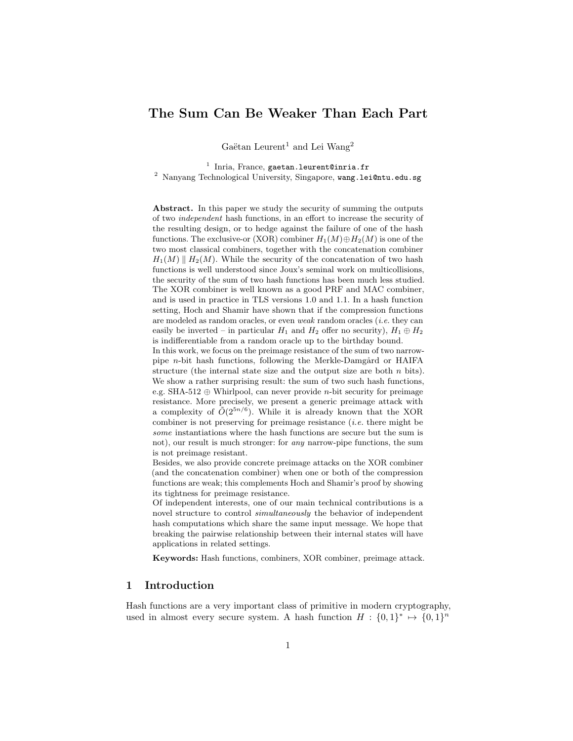# The Sum Can Be Weaker Than Each Part

Gaëtan Leurent<sup>1</sup> and Lei Wang<sup>2</sup>

<sup>1</sup> Inria, France, gaetan.leurent@inria.fr <sup>2</sup> Nanyang Technological University, Singapore, wang.lei@ntu.edu.sg

Abstract. In this paper we study the security of summing the outputs of two independent hash functions, in an effort to increase the security of the resulting design, or to hedge against the failure of one of the hash functions. The exclusive-or (XOR) combiner  $H_1(M) \oplus H_2(M)$  is one of the two most classical combiners, together with the concatenation combiner  $H_1(M) \parallel H_2(M)$ . While the security of the concatenation of two hash functions is well understood since Joux's seminal work on multicollisions, the security of the sum of two hash functions has been much less studied. The XOR combiner is well known as a good PRF and MAC combiner, and is used in practice in TLS versions 1.0 and 1.1. In a hash function setting, Hoch and Shamir have shown that if the compression functions are modeled as random oracles, or even weak random oracles (i.e. they can easily be inverted – in particular  $H_1$  and  $H_2$  offer no security),  $H_1 \oplus H_2$ is indifferentiable from a random oracle up to the birthday bound.

In this work, we focus on the preimage resistance of the sum of two narrowpipe  $n$ -bit hash functions, following the Merkle-Damgård or HAIFA structure (the internal state size and the output size are both  $n$  bits). We show a rather surprising result: the sum of two such hash functions, e.g. SHA-512  $\oplus$  Whirlpool, can never provide *n*-bit security for preimage resistance. More precisely, we present a generic preimage attack with a complexity of  $\tilde{O}(2^{5n/6})$ . While it is already known that the XOR combiner is not preserving for preimage resistance  $(i.e.$  there might be some instantiations where the hash functions are secure but the sum is not), our result is much stronger: for any narrow-pipe functions, the sum is not preimage resistant.

Besides, we also provide concrete preimage attacks on the XOR combiner (and the concatenation combiner) when one or both of the compression functions are weak; this complements Hoch and Shamir's proof by showing its tightness for preimage resistance.

Of independent interests, one of our main technical contributions is a novel structure to control *simultaneously* the behavior of independent hash computations which share the same input message. We hope that breaking the pairwise relationship between their internal states will have applications in related settings.

Keywords: Hash functions, combiners, XOR combiner, preimage attack.

## 1 Introduction

Hash functions are a very important class of primitive in modern cryptography, used in almost every secure system. A hash function  $H: \{0,1\}^* \mapsto \{0,1\}^n$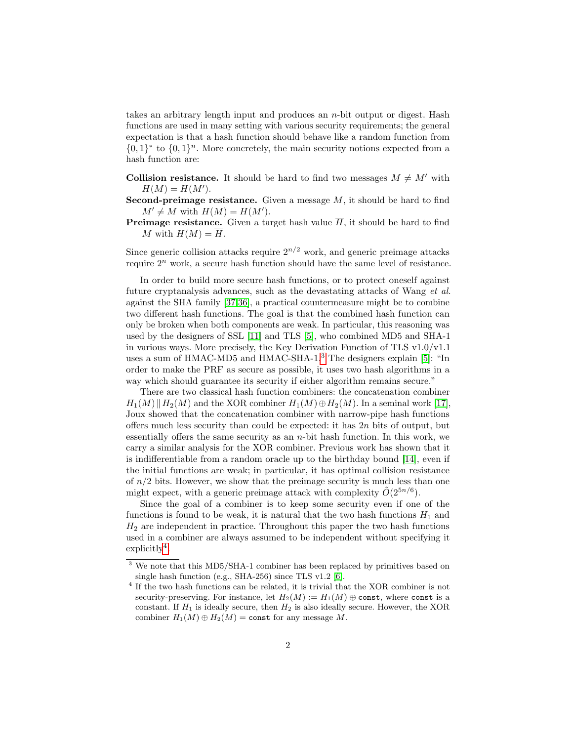takes an arbitrary length input and produces an n-bit output or digest. Hash functions are used in many setting with various security requirements; the general expectation is that a hash function should behave like a random function from  $\{0,1\}^*$  to  $\{0,1\}^n$ . More concretely, the main security notions expected from a hash function are:

**Collision resistance.** It should be hard to find two messages  $M \neq M'$  with  $H(M) = H(M').$ 

Second-preimage resistance. Given a message  $M$ , it should be hard to find  $M' \neq M$  with  $H(M) = H(M')$ .

**Preimage resistance.** Given a target hash value  $\overline{H}$ , it should be hard to find M with  $H(M) = \overline{H}$ .

Since generic collision attacks require  $2^{n/2}$  work, and generic preimage attacks require  $2^n$  work, a secure hash function should have the same level of resistance.

In order to build more secure hash functions, or to protect oneself against future cryptanalysis advances, such as the devastating attacks of Wang et al. against the SHA family [\[37](#page-20-0)[,36\]](#page-20-1), a practical countermeasure might be to combine two different hash functions. The goal is that the combined hash function can only be broken when both components are weak. In particular, this reasoning was used by the designers of SSL [\[11\]](#page-18-0) and TLS [\[5\]](#page-18-1), who combined MD5 and SHA-1 in various ways. More precisely, the Key Derivation Function of TLS v1.0/v1.1 uses a sum of HMAC-MD5 and HMAC-SHA-1.[3](#page-1-0) The designers explain [\[5\]](#page-18-1): "In order to make the PRF as secure as possible, it uses two hash algorithms in a way which should guarantee its security if either algorithm remains secure."

There are two classical hash function combiners: the concatenation combiner  $H_1(M)$  H<sub>2</sub>(M) and the XOR combiner  $H_1(M) \oplus H_2(M)$ . In a seminal work [\[17\]](#page-19-0), Joux showed that the concatenation combiner with narrow-pipe hash functions offers much less security than could be expected: it has  $2n$  bits of output, but essentially offers the same security as an  $n$ -bit hash function. In this work, we carry a similar analysis for the XOR combiner. Previous work has shown that it is indifferentiable from a random oracle up to the birthday bound [\[14\]](#page-18-2), even if the initial functions are weak; in particular, it has optimal collision resistance of  $n/2$  bits. However, we show that the preimage security is much less than one might expect, with a generic preimage attack with complexity  $\tilde{O}(2^{5n/6})$ .

Since the goal of a combiner is to keep some security even if one of the functions is found to be weak, it is natural that the two hash functions  $H_1$  and  $H<sub>2</sub>$  are independent in practice. Throughout this paper the two hash functions used in a combiner are always assumed to be independent without specifying it  $explicity<sup>4</sup>$  $explicity<sup>4</sup>$  $explicity<sup>4</sup>$ .

<span id="page-1-0"></span> $^3$  We note that this MD5/SHA-1 combiner has been replaced by primitives based on single hash function (e.g., SHA-256) since TLS v1.2 [\[6\]](#page-18-3).

<span id="page-1-1"></span><sup>&</sup>lt;sup>4</sup> If the two hash functions can be related, it is trivial that the XOR combiner is not security-preserving. For instance, let  $H_2(M) := H_1(M) \oplus \text{const}$ , where const is a constant. If  $H_1$  is ideally secure, then  $H_2$  is also ideally secure. However, the XOR combiner  $H_1(M) \oplus H_2(M) = \text{const}$  for any message M.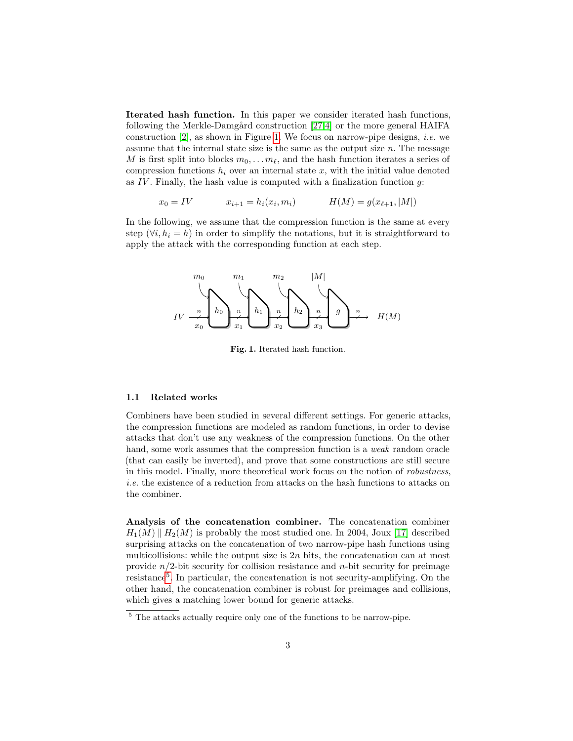Iterated hash function. In this paper we consider iterated hash functions, following the Merkle-Damgård construction  $[27,4]$  $[27,4]$  or the more general HAIFA construction [\[2\]](#page-18-5), as shown in Figure [1.](#page-2-0) We focus on narrow-pipe designs, *i.e.* we assume that the internal state size is the same as the output size  $n$ . The message M is first split into blocks  $m_0, \ldots, m_\ell$ , and the hash function iterates a series of compression functions  $h_i$  over an internal state x, with the initial value denoted as  $IV$ . Finally, the hash value is computed with a finalization function  $g$ :

$$
x_0 = IV \qquad x_{i+1} = h_i(x_i, m_i) \qquad H(M) = g(x_{\ell+1}, |M|)
$$

In the following, we assume that the compression function is the same at every step ( $\forall i, h_i = h$ ) in order to simplify the notations, but it is straightforward to apply the attack with the corresponding function at each step.



<span id="page-2-0"></span>Fig. 1. Iterated hash function.

### <span id="page-2-2"></span>1.1 Related works

Combiners have been studied in several different settings. For generic attacks, the compression functions are modeled as random functions, in order to devise attacks that don't use any weakness of the compression functions. On the other hand, some work assumes that the compression function is a *weak* random oracle (that can easily be inverted), and prove that some constructions are still secure in this model. Finally, more theoretical work focus on the notion of robustness, i.e. the existence of a reduction from attacks on the hash functions to attacks on the combiner.

Analysis of the concatenation combiner. The concatenation combiner  $H_1(M)$  H<sub>2</sub>(M) is probably the most studied one. In 2004, Joux [\[17\]](#page-19-0) described surprising attacks on the concatenation of two narrow-pipe hash functions using multicollisions: while the output size is  $2n$  bits, the concatenation can at most provide  $n/2$ -bit security for collision resistance and n-bit security for preimage resistance<sup>[5](#page-2-1)</sup>. In particular, the concatenation is not security-amplifying. On the other hand, the concatenation combiner is robust for preimages and collisions, which gives a matching lower bound for generic attacks.

<span id="page-2-1"></span><sup>&</sup>lt;sup>5</sup> The attacks actually require only one of the functions to be narrow-pipe.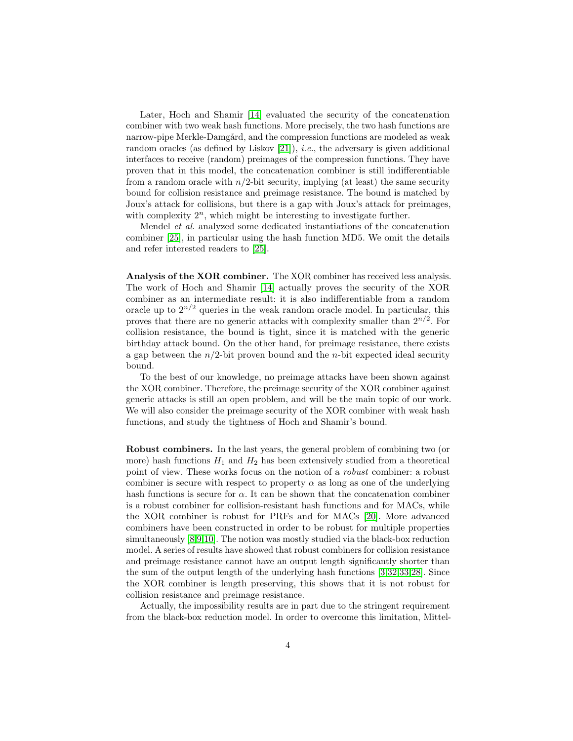Later, Hoch and Shamir [\[14\]](#page-18-2) evaluated the security of the concatenation combiner with two weak hash functions. More precisely, the two hash functions are narrow-pipe Merkle-Damgård, and the compression functions are modeled as weak random oracles (as defined by Liskov  $[21]$ ), *i.e.*, the adversary is given additional interfaces to receive (random) preimages of the compression functions. They have proven that in this model, the concatenation combiner is still indifferentiable from a random oracle with  $n/2$ -bit security, implying (at least) the same security bound for collision resistance and preimage resistance. The bound is matched by Joux's attack for collisions, but there is a gap with Joux's attack for preimages, with complexity  $2^n$ , which might be interesting to investigate further.

Mendel et al. analyzed some dedicated instantiations of the concatenation combiner [\[25\]](#page-19-3), in particular using the hash function MD5. We omit the details and refer interested readers to [\[25\]](#page-19-3).

Analysis of the XOR combiner. The XOR combiner has received less analysis. The work of Hoch and Shamir [\[14\]](#page-18-2) actually proves the security of the XOR combiner as an intermediate result: it is also indifferentiable from a random oracle up to  $2^{n/2}$  queries in the weak random oracle model. In particular, this proves that there are no generic attacks with complexity smaller than  $2^{n/2}$ . For collision resistance, the bound is tight, since it is matched with the generic birthday attack bound. On the other hand, for preimage resistance, there exists a gap between the  $n/2$ -bit proven bound and the *n*-bit expected ideal security bound.

To the best of our knowledge, no preimage attacks have been shown against the XOR combiner. Therefore, the preimage security of the XOR combiner against generic attacks is still an open problem, and will be the main topic of our work. We will also consider the preimage security of the XOR combiner with weak hash functions, and study the tightness of Hoch and Shamir's bound.

Robust combiners. In the last years, the general problem of combining two (or more) hash functions  $H_1$  and  $H_2$  has been extensively studied from a theoretical point of view. These works focus on the notion of a robust combiner: a robust combiner is secure with respect to property  $\alpha$  as long as one of the underlying hash functions is secure for  $\alpha$ . It can be shown that the concatenation combiner is a robust combiner for collision-resistant hash functions and for MACs, while the XOR combiner is robust for PRFs and for MACs [\[20\]](#page-19-4). More advanced combiners have been constructed in order to be robust for multiple properties simultaneously [\[8](#page-18-6)[,9](#page-18-7)[,10\]](#page-18-8). The notion was mostly studied via the black-box reduction model. A series of results have showed that robust combiners for collision resistance and preimage resistance cannot have an output length significantly shorter than the sum of the output length of the underlying hash functions [\[3,](#page-18-9)[32](#page-20-2)[,33,](#page-20-3)[28\]](#page-19-5). Since the XOR combiner is length preserving, this shows that it is not robust for collision resistance and preimage resistance.

Actually, the impossibility results are in part due to the stringent requirement from the black-box reduction model. In order to overcome this limitation, Mittel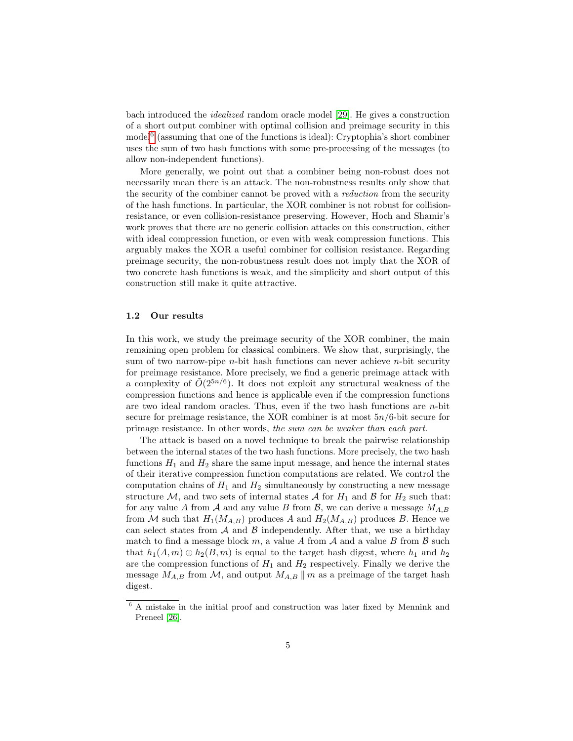bach introduced the idealized random oracle model [\[29\]](#page-19-6). He gives a construction of a short output combiner with optimal collision and preimage security in this model<sup>[6](#page-4-0)</sup> (assuming that one of the functions is ideal): Cryptophia's short combiner uses the sum of two hash functions with some pre-processing of the messages (to allow non-independent functions).

More generally, we point out that a combiner being non-robust does not necessarily mean there is an attack. The non-robustness results only show that the security of the combiner cannot be proved with a *reduction* from the security of the hash functions. In particular, the XOR combiner is not robust for collisionresistance, or even collision-resistance preserving. However, Hoch and Shamir's work proves that there are no generic collision attacks on this construction, either with ideal compression function, or even with weak compression functions. This arguably makes the XOR a useful combiner for collision resistance. Regarding preimage security, the non-robustness result does not imply that the XOR of two concrete hash functions is weak, and the simplicity and short output of this construction still make it quite attractive.

#### 1.2 Our results

In this work, we study the preimage security of the XOR combiner, the main remaining open problem for classical combiners. We show that, surprisingly, the sum of two narrow-pipe  $n$ -bit hash functions can never achieve  $n$ -bit security for preimage resistance. More precisely, we find a generic preimage attack with a complexity of  $O(2^{5n/6})$ . It does not exploit any structural weakness of the compression functions and hence is applicable even if the compression functions are two ideal random oracles. Thus, even if the two hash functions are  $n$ -bit secure for preimage resistance, the XOR combiner is at most  $5n/6$ -bit secure for primage resistance. In other words, the sum can be weaker than each part.

The attack is based on a novel technique to break the pairwise relationship between the internal states of the two hash functions. More precisely, the two hash functions  $H_1$  and  $H_2$  share the same input message, and hence the internal states of their iterative compression function computations are related. We control the computation chains of  $H_1$  and  $H_2$  simultaneously by constructing a new message structure M, and two sets of internal states A for  $H_1$  and B for  $H_2$  such that: for any value A from A and any value B from B, we can derive a message  $M_{A,B}$ from M such that  $H_1(M_{A,B})$  produces A and  $H_2(M_{A,B})$  produces B. Hence we can select states from  $A$  and  $B$  independently. After that, we use a birthday match to find a message block m, a value A from  $A$  and a value B from  $B$  such that  $h_1(A, m) \oplus h_2(B, m)$  is equal to the target hash digest, where  $h_1$  and  $h_2$ are the compression functions of  $H_1$  and  $H_2$  respectively. Finally we derive the message  $M_{A,B}$  from M, and output  $M_{A,B}$  || m as a preimage of the target hash digest.

<span id="page-4-0"></span> $6$  A mistake in the initial proof and construction was later fixed by Mennink and Preneel [\[26\]](#page-19-7).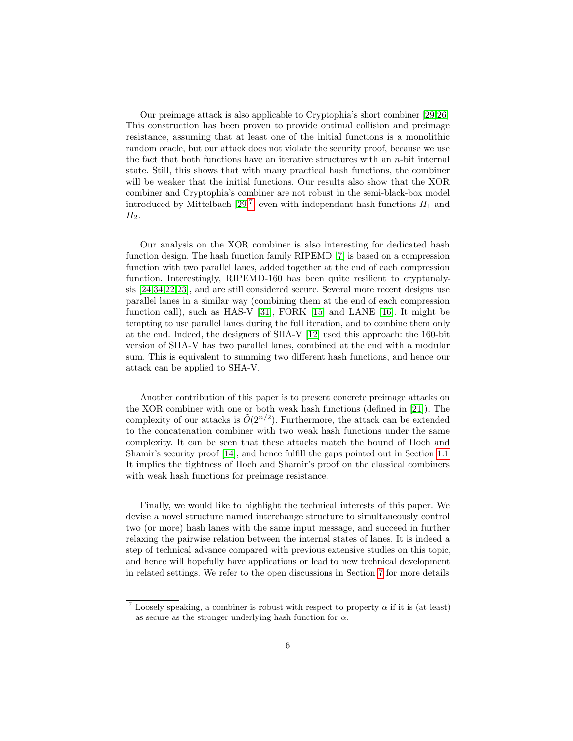Our preimage attack is also applicable to Cryptophia's short combiner [\[29](#page-19-6)[,26\]](#page-19-7). This construction has been proven to provide optimal collision and preimage resistance, assuming that at least one of the initial functions is a monolithic random oracle, but our attack does not violate the security proof, because we use the fact that both functions have an iterative structures with an  $n$ -bit internal state. Still, this shows that with many practical hash functions, the combiner will be weaker that the initial functions. Our results also show that the XOR combiner and Cryptophia's combiner are not robust in the semi-black-box model introduced by Mittelbach  $[29]^7$  $[29]^7$  $[29]^7$ , even with independant hash functions  $H_1$  and  $H_2$ .

Our analysis on the XOR combiner is also interesting for dedicated hash function design. The hash function family RIPEMD [\[7\]](#page-18-10) is based on a compression function with two parallel lanes, added together at the end of each compression function. Interestingly, RIPEMD-160 has been quite resilient to cryptanalysis [\[24](#page-19-8)[,34,](#page-20-4)[22,](#page-19-9)[23\]](#page-19-10), and are still considered secure. Several more recent designs use parallel lanes in a similar way (combining them at the end of each compression function call), such as HAS-V [\[31\]](#page-19-11), FORK [\[15\]](#page-19-12) and LANE [\[16\]](#page-19-13). It might be tempting to use parallel lanes during the full iteration, and to combine them only at the end. Indeed, the designers of SHA-V [\[12\]](#page-18-11) used this approach: the 160-bit version of SHA-V has two parallel lanes, combined at the end with a modular sum. This is equivalent to summing two different hash functions, and hence our attack can be applied to SHA-V.

Another contribution of this paper is to present concrete preimage attacks on the XOR combiner with one or both weak hash functions (defined in [\[21\]](#page-19-2)). The complexity of our attacks is  $O(2^{n/2})$ . Furthermore, the attack can be extended to the concatenation combiner with two weak hash functions under the same complexity. It can be seen that these attacks match the bound of Hoch and Shamir's security proof [\[14\]](#page-18-2), and hence fulfill the gaps pointed out in Section [1.1.](#page-2-2) It implies the tightness of Hoch and Shamir's proof on the classical combiners with weak hash functions for preimage resistance.

Finally, we would like to highlight the technical interests of this paper. We devise a novel structure named interchange structure to simultaneously control two (or more) hash lanes with the same input message, and succeed in further relaxing the pairwise relation between the internal states of lanes. It is indeed a step of technical advance compared with previous extensive studies on this topic, and hence will hopefully have applications or lead to new technical development in related settings. We refer to the open discussions in Section [7](#page-16-0) for more details.

<span id="page-5-0"></span><sup>&</sup>lt;sup>7</sup> Loosely speaking, a combiner is robust with respect to property  $\alpha$  if it is (at least) as secure as the stronger underlying hash function for  $\alpha$ .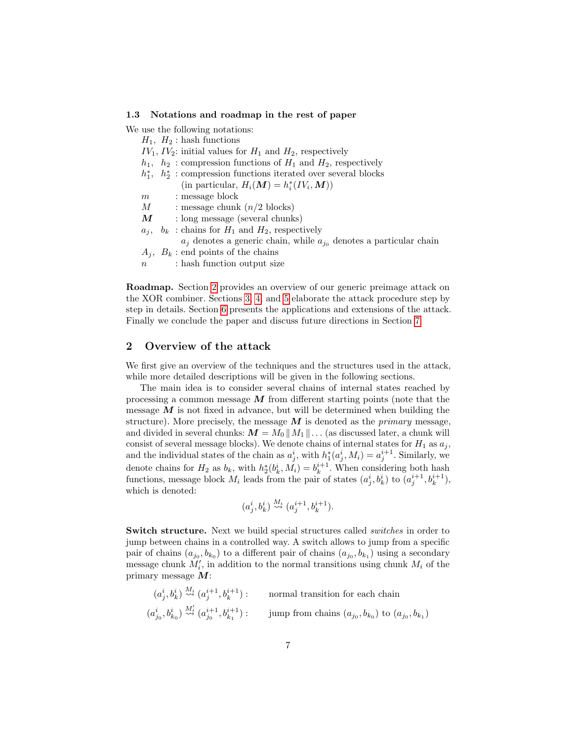#### 1.3 Notations and roadmap in the rest of paper

We use the following notations:

- $H_1$ ,  $H_2$ : hash functions
- $IV_1, IV_2$ : initial values for  $H_1$  and  $H_2$ , respectively
- $h_1$ ,  $h_2$ : compression functions of  $H_1$  and  $H_2$ , respectively
- $h_1^*$  ,  $h_2^*$  : compression functions iterated over several blocks
- (in particular,  $H_i(\boldsymbol{M}) = h_i^*(IV_i, \boldsymbol{M}))$
- $m \t : message block$
- $M$  : message chunk  $(n/2 \text{ blocks})$
- $M$  : long message (several chunks)
- $a_j, b_k$ : chains for  $H_1$  and  $H_2$ , respectively
	- $a_j$  denotes a generic chain, while  $a_{j_0}$  denotes a particular chain
- $A_i$ ,  $B_k$ : end points of the chains
- $n$  : hash function output size

Roadmap. Section [2](#page-6-0) provides an overview of our generic preimage attack on the XOR combiner. Sections [3,](#page-9-0) [4,](#page-9-1) and [5](#page-10-0) elaborate the attack procedure step by step in details. Section [6](#page-13-0) presents the applications and extensions of the attack. Finally we conclude the paper and discuss future directions in Section [7.](#page-16-0)

### <span id="page-6-0"></span>2 Overview of the attack

M i

 $\overline{a}$ 

We first give an overview of the techniques and the structures used in the attack, while more detailed descriptions will be given in the following sections.

The main idea is to consider several chains of internal states reached by processing a common message  $M$  from different starting points (note that the message  $M$  is not fixed in advance, but will be determined when building the structure). More precisely, the message  $M$  is denoted as the *primary* message, and divided in several chunks:  $M = M_0 || M_1 || \dots$  (as discussed later, a chunk will consist of several message blocks). We denote chains of internal states for  $H_1$  as  $a_i$ , and the individual states of the chain as  $a_j^i$ , with  $h_1^*(a_j^i, M_i) = a_j^{i+1}$ . Similarly, we denote chains for  $H_2$  as  $b_k$ , with  $h_2^*(b_k^i, M_i) = b_k^{i+1}$ . When considering both hash functions, message block  $M_i$  leads from the pair of states  $(a_j^i, b_k^i)$  to  $(a_j^{i+1}, b_k^{i+1})$ , which is denoted:

$$
(a^i_j,b^i_k) \stackrel{M_i}{\leadsto} (a^{i+1}_j,b^{i+1}_k).
$$

Switch structure. Next we build special structures called *switches* in order to jump between chains in a controlled way. A switch allows to jump from a specific pair of chains  $(a_{j_0}, b_{k_0})$  to a different pair of chains  $(a_{j_0}, b_{k_1})$  using a secondary message chunk  $M'_i$ , in addition to the normal transitions using chunk  $M_i$  of the primary message  $M$ :

$$
(a_j^i, b_k^i) \stackrel{M_i}{\leadsto} (a_j^{i+1}, b_k^{i+1}) : \text{normal transition for each chain}
$$
  

$$
a_{j_0}^i, b_{k_0}^i) \stackrel{M_i'}{\leadsto} (a_{j_0}^{i+1}, b_{k_1}^{i+1}) : \text{jump from chains } (a_{j_0}, b_{k_0}) \text{ to } (a_{j_0}, b_{k_1})
$$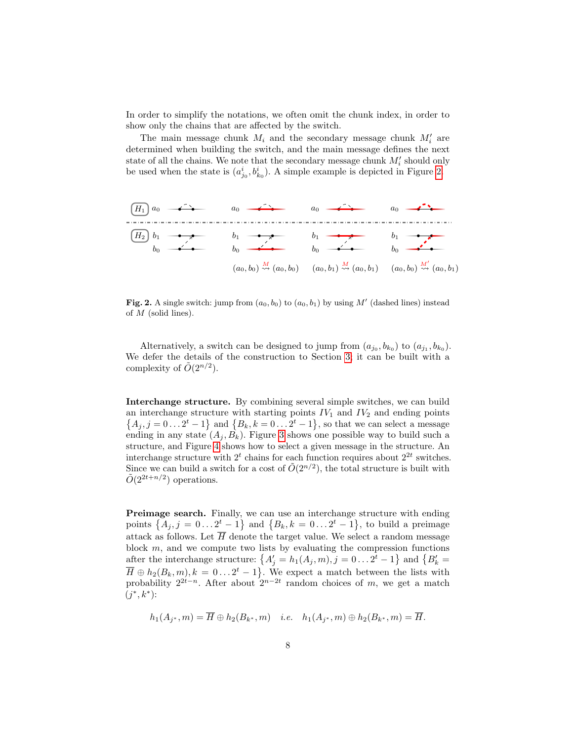In order to simplify the notations, we often omit the chunk index, in order to show only the chains that are affected by the switch.

The main message chunk  $M_i$  and the secondary message chunk  $M'_i$  are determined when building the switch, and the main message defines the next state of all the chains. We note that the secondary message chunk  $M_i'$  should only be used when the state is  $(a_{j_0}^i, b_{k_0}^i)$ . A simple example is depicted in Figure [2.](#page-7-0)



<span id="page-7-0"></span>Fig. 2. A single switch: jump from  $(a_0, b_0)$  to  $(a_0, b_1)$  by using M' (dashed lines) instead of  $M$  (solid lines).

Alternatively, a switch can be designed to jump from  $(a_{j_0}, b_{k_0})$  to  $(a_{j_1}, b_{k_0})$ . We defer the details of the construction to Section [3;](#page-9-0) it can be built with a complexity of  $\tilde{O}(2^{n/2})$ .

Interchange structure. By combining several simple switches, we can build an interchange structure with starting points  $IV_1$  and  $IV_2$  and ending points  $\{A_j, j=0 \ldots 2^t-1\}$  and  $\{B_k, k=0 \ldots 2^t-1\}$ , so that we can select a message ending in any state  $(A_i, B_k)$ . Figure [3](#page-8-0) shows one possible way to build such a structure, and Figure [4](#page-8-1) shows how to select a given message in the structure. An interchange structure with  $2<sup>t</sup>$  chains for each function requires about  $2<sup>2t</sup>$  switches. Since we can build a switch for a cost of  $O(2^{n/2})$ , the total structure is built with  $\tilde{O}(2^{2t+n/2})$  operations.

Preimage search. Finally, we can use an interchange structure with ending points  $\{A_j, j = 0 \dots 2^t - 1\}$  and  $\{B_k, k = 0 \dots 2^t - 1\}$ , to build a preimage attack as follows. Let  $\overline{H}$  denote the target value. We select a random message block  $m$ , and we compute two lists by evaluating the compression functions after the interchange structure:  $\{A'_j = h_1(A_j, m), j = 0 \dots 2^t - 1\}$  and  $\{B'_k =$  $\overline{H} \oplus h_2(B_k, m), k = 0 \ldots 2^t - 1$ . We expect a match between the lists with probability  $2^{2t-n}$ . After about  $2^{n-2t}$  random choices of m, we get a match  $(j^*, k^*)$ :

$$
h_1(A_{j^*},m)=\overline{H}\oplus h_2(B_{k^*},m) \quad i.e. \quad h_1(A_{j^*},m)\oplus h_2(B_{k^*},m)=\overline{H}.
$$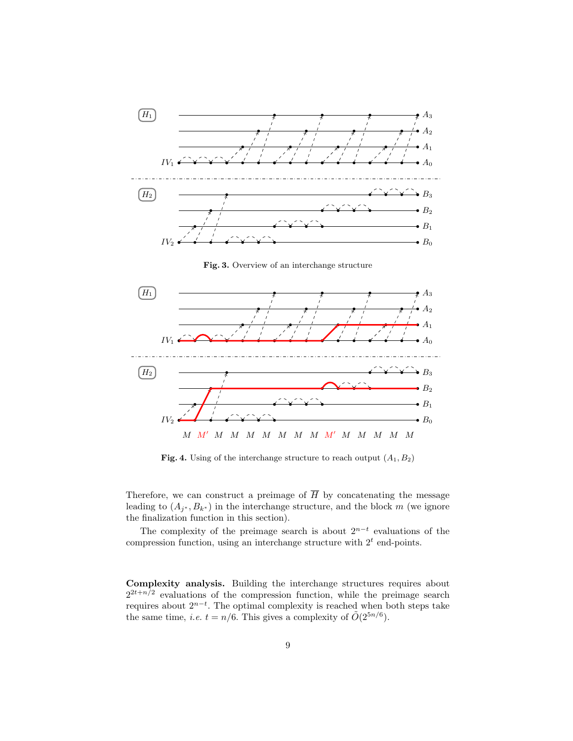

<span id="page-8-0"></span>Fig. 3. Overview of an interchange structure



<span id="page-8-1"></span>Fig. 4. Using of the interchange structure to reach output  $(A_1, B_2)$ 

Therefore, we can construct a preimage of  $\overline{H}$  by concatenating the message leading to  $(A_{j^*}, B_{k^*})$  in the interchange structure, and the block m (we ignore the finalization function in this section).

The complexity of the preimage search is about  $2^{n-t}$  evaluations of the compression function, using an interchange structure with  $2<sup>t</sup>$  end-points.

Complexity analysis. Building the interchange structures requires about  $2^{2t+n/2}$  evaluations of the compression function, while the preimage search requires about  $2^{n-t}$ . The optimal complexity is reached when both steps take the same time, *i.e.*  $t = n/6$ . This gives a complexity of  $O(2^{5n/6})$ .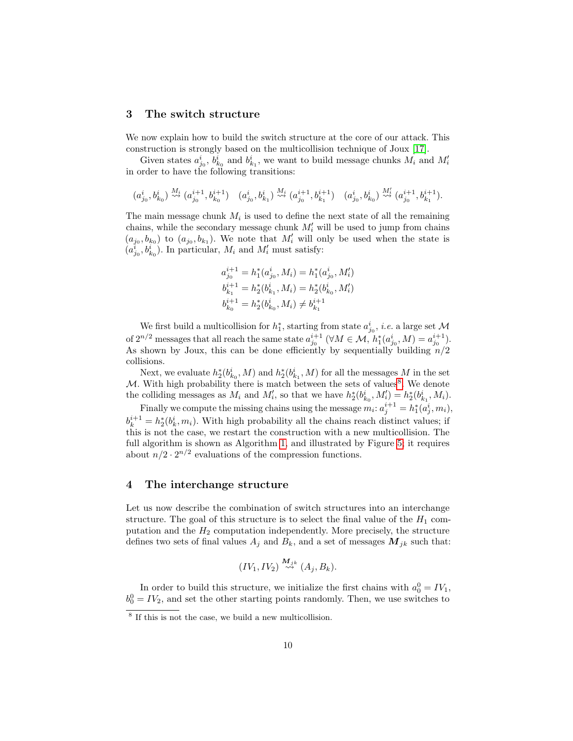### <span id="page-9-0"></span>3 The switch structure

We now explain how to build the switch structure at the core of our attack. This construction is strongly based on the multicollision technique of Joux [\[17\]](#page-19-0).

Given states  $a_{j_0}^i$ ,  $b_{k_0}^i$  and  $b_{k_1}^i$ , we want to build message chunks  $M_i$  and  $M_i'$ in order to have the following transitions:

$$
(a^i_{j_0},b^i_{k_0}) \stackrel{M_i}{\leadsto} (a^{i+1}_{j_0},b^{i+1}_{k_0}) \quad (a^i_{j_0},b^i_{k_1}) \stackrel{M_i}{\leadsto} (a^{i+1}_{j_0},b^{i+1}_{k_1}) \quad (a^i_{j_0},b^i_{k_0}) \stackrel{M_i'}{\leadsto} (a^{i+1}_{j_0},b^{i+1}_{k_1}).
$$

The main message chunk  $M_i$  is used to define the next state of all the remaining chains, while the secondary message chunk  $M'_{i}$  will be used to jump from chains  $(a_{j_0}, b_{k_0})$  to  $(a_{j_0}, b_{k_1})$ . We note that  $M'_i$  will only be used when the state is  $(a_{j_0}^i, b_{k_0}^i)$ . In particular,  $M_i$  and  $M'_i$  must satisfy:

$$
a_{j_0}^{i+1} = h_1^*(a_{j_0}^i, M_i) = h_1^*(a_{j_0}^i, M_i')
$$
  
\n
$$
b_{k_1}^{i+1} = h_2^*(b_{k_1}^i, M_i) = h_2^*(b_{k_0}^i, M_i')
$$
  
\n
$$
b_{k_0}^{i+1} = h_2^*(b_{k_0}^i, M_i) \neq b_{k_1}^{i+1}
$$

We first build a multicollision for  $h_1^*$ , starting from state  $a_{j_0}^i$ , *i.e.* a large set  $\mathcal M$ of  $2^{n/2}$  messages that all reach the same state  $a_{j_0}^{i+1}$  ( $\forall M \in \mathcal{M}$ ,  $h_1^*(a_{j_0}^i, M) = a_{j_0}^{i+1}$ ). As shown by Joux, this can be done efficiently by sequentially building  $n/2$ collisions.

Next, we evaluate  $h_2^*(b_{k_0}^i, M)$  and  $h_2^*(b_{k_1}^i, M)$  for all the messages M in the set  $M$ . With high probability there is match between the sets of values<sup>[8](#page-9-2)</sup>. We denote the colliding messages as  $M_i$  and  $M'_i$ , so that we have  $h_2^*(b_{k_0}^i, M'_i) = h_2^*(b_{k_1}^i, M_i)$ .

Finally we compute the missing chains using the message  $m_i$ :  $a_j^{i+1} = h_1^*(a_j^i, m_i)$ ,  $b_k^{i+1} = h_2^*(b_k^i, m_i)$ . With high probability all the chains reach distinct values; if this is not the case, we restart the construction with a new multicollision. The full algorithm is shown as Algorithm [1,](#page-11-0) and illustrated by Figure [5;](#page-10-1) it requires about  $n/2 \cdot 2^{n/2}$  evaluations of the compression functions.

## <span id="page-9-1"></span>4 The interchange structure

Let us now describe the combination of switch structures into an interchange structure. The goal of this structure is to select the final value of the  $H_1$  computation and the  $H_2$  computation independently. More precisely, the structure defines two sets of final values  $A_i$  and  $B_k$ , and a set of messages  $M_{ik}$  such that:

$$
(IV_1, IV_2) \stackrel{M_{jk}}{\rightsquigarrow} (A_j, B_k).
$$

In order to build this structure, we initialize the first chains with  $a_0^0 = IV_1$ ,  $b_0^0 = IV_2$ , and set the other starting points randomly. Then, we use switches to

<span id="page-9-2"></span><sup>8</sup> If this is not the case, we build a new multicollision.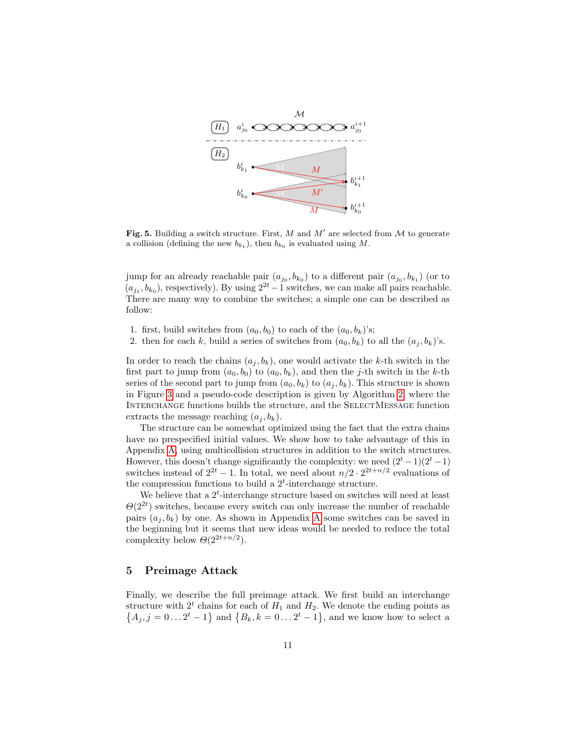

<span id="page-10-1"></span>Fig. 5. Building a switch structure. First, M and  $M'$  are selected from M to generate a collision (defining the new  $b_{k_1}$ ), then  $b_{k_0}$  is evaluated using M.

jump for an already reachable pair  $(a_{j_0}, b_{k_0})$  to a different pair  $(a_{j_0}, b_{k_1})$  (or to  $(a_{j_1}, b_{k_0})$ , respectively). By using  $2^{2t} - 1$  switches, we can make all pairs reachable. There are many way to combine the switches; a simple one can be described as follow:

- 1. first, build switches from  $(a_0, b_0)$  to each of the  $(a_0, b_k)$ 's;
- 2. then for each k, build a series of switches from  $(a_0, b_k)$  to all the  $(a_i, b_k)$ 's.

In order to reach the chains  $(a_j, b_k)$ , one would activate the k-th switch in the first part to jump from  $(a_0, b_0)$  to  $(a_0, b_k)$ , and then the j-th switch in the k-th series of the second part to jump from  $(a_0, b_k)$  to  $(a_i, b_k)$ . This structure is shown in Figure [3](#page-8-0) and a pseudo-code description is given by Algorithm [2,](#page-12-0) where the Interchange functions builds the structure, and the SelectMessage function extracts the message reaching  $(a_i, b_k)$ .

The structure can be somewhat optimized using the fact that the extra chains have no prespecified initial values. We show how to take advantage of this in Appendix [A,](#page-20-5) using multicollision structures in addition to the switch structures. However, this doesn't change significantly the complexity: we need  $(2<sup>t</sup> - 1)(2<sup>t</sup> - 1)$ switches instead of  $2^{2t} - 1$ . In total, we need about  $n/2 \cdot 2^{2t+n/2}$  evaluations of the compression functions to build a  $2<sup>t</sup>$ -interchange structure.

We believe that a  $2^t$ -interchange structure based on switches will need at least  $\Theta(2^{2t})$  switches, because every switch can only increase the number of reachable pairs  $(a_i, b_k)$  by one. [A](#page-20-5)s shown in Appendix A some switches can be saved in the beginning but it seems that new ideas would be needed to reduce the total complexity below  $\Theta(2^{2t+n/2})$ .

## <span id="page-10-0"></span>5 Preimage Attack

Finally, we describe the full preimage attack. We first build an interchange structure with  $2^t$  chains for each of  $H_1$  and  $H_2$ . We denote the ending points as  ${A_j, j = 0...2^t - 1}$  and  ${B_k, k = 0...2^t - 1}$ , and we know how to select a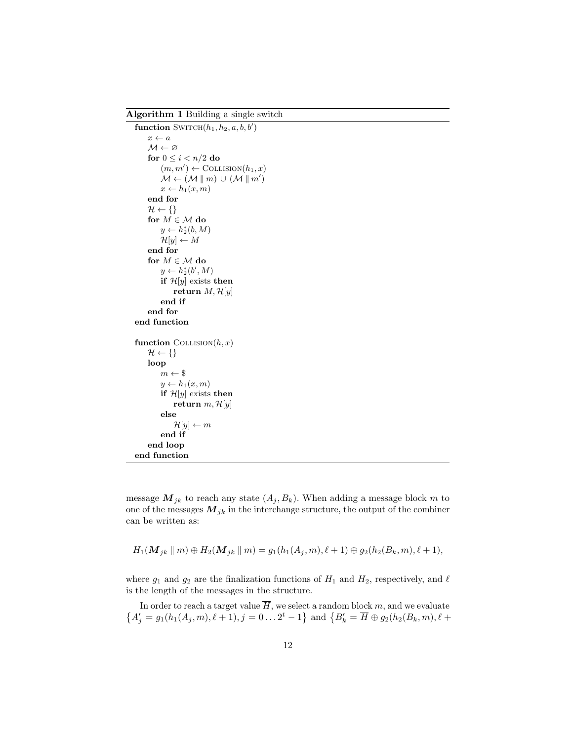### Algorithm 1 Building a single switch

```
function \text{SWITCH}(h_1, h_2, a, b, b')x \leftarrow aM \leftarrow \varnothingfor 0 \leq i < n/2do
           (m, m') \leftarrow \text{COLLISION}(h_1, x)\mathcal{M} \leftarrow (\mathcal{M} \parallel m) \cup (\mathcal{M} \parallel m')x \leftarrow h_1(x,m)end for
     \mathcal{H} \leftarrow \{\}for M \in \mathcal{M} do
           y \leftarrow h_2^*(b, M)\mathcal{H}[y] \leftarrow Mend for
     for M \in \mathcal{M}do
           y \leftarrow h_2^*(b', M)if \mathcal{H}[y] exists then
                return M, \mathcal{H}[y]end if
     end for
end function
function COLLISION(h, x)\mathcal{H} \leftarrow \{\}loop
          m \leftarrow \$y \leftarrow h_1(x, m)if \mathcal{H}[y] exists then
                return m, \mathcal{H}[y]else
                \mathcal{H}[y] \leftarrow mend if
     end loop
end function
```
message  $M_{jk}$  to reach any state  $(A_j, B_k)$ . When adding a message block m to one of the messages  $M_{jk}$  in the interchange structure, the output of the combiner can be written as:

$$
H_1(\mathbf{M}_{jk} \parallel m) \oplus H_2(\mathbf{M}_{jk} \parallel m) = g_1(h_1(A_j, m), \ell + 1) \oplus g_2(h_2(B_k, m), \ell + 1),
$$

where  $g_1$  and  $g_2$  are the finalization functions of  $H_1$  and  $H_2$ , respectively, and  $\ell$ is the length of the messages in the structure.

In order to reach a target value  $\overline{H}$ , we select a random block m, and we evaluate  $\{A'_j = g_1(h_1(A_j, m), \ell + 1), j = 0 \dots 2^t - 1\}$  and  $\{B'_k = \overline{H} \oplus g_2(h_2(B_k, m), \ell + 1)\}$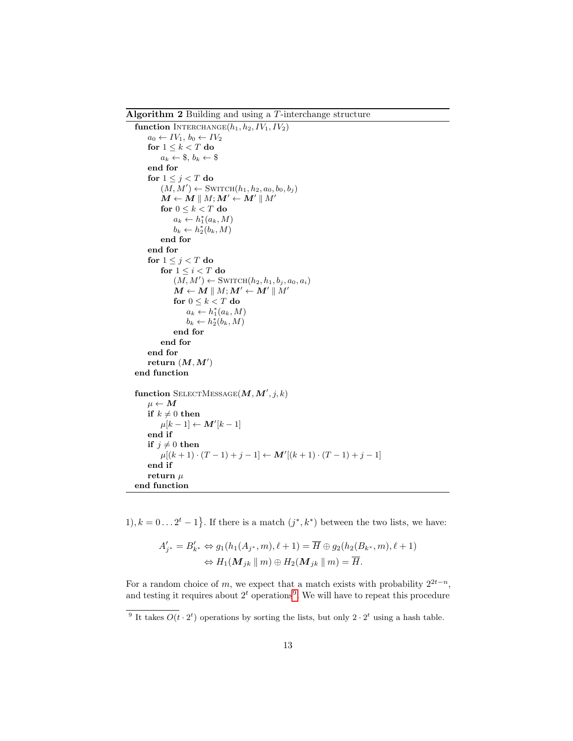Algorithm 2 Building and using a T-interchange structure

```
function INTERCHANGE(h_1, h_2, IV_1, IV_2)a_0 \leftarrow IV_1, b_0 \leftarrow IV_2for 1 \leq k < T do
          a_k \leftarrow \$, b_k \leftarrow \$end for
     for 1 \leq j < T do
          (M, M') \leftarrow \text{SWITCH}(h_1, h_2, a_0, b_0, b_j)\bm{M} \leftarrow \bm{M} \parallel M; \bm{M'} \leftarrow \bm{M'} \parallel M'for 0 \leq k < T do
               a_k \leftarrow h_1^*(a_k, M)b_k \leftarrow h_2^*(b_k, M)end for
     end for
     for 1\leq j < T do
          for 1 \leq i < T do
               (M, M') \leftarrow \text{SWITCH}(h_2, h_1, b_j, a_0, a_i)\boldsymbol{M}\leftarrow \boldsymbol{M}\parallel M;\boldsymbol{M}^\prime\leftarrow \boldsymbol{M}^\prime \parallel \dot{M}^\primefor 0 \leq k < T do
                    a_k \leftarrow h_1^*(a_k, M)b_k \leftarrow h_2^*(b_k, M)end for
          end for
     end for
     \mathrm{return}~(M, M')end function
function SELECTMESSAGE(M, M', j, k)\mu \leftarrow \bm{M}if k \neq 0 then
          \mu[k-1] \leftarrow \mathbf{M}'[k-1]end if
     if j \neq 0 then
          \mu[(k+1)\cdot(T-1)+j-1] \leftarrow M'[(k+1)\cdot(T-1)+j-1]end if
     return \muend function
```
1),  $k = 0...2^t - 1$ . If there is a match  $(j^*, k^*)$  between the two lists, we have:

$$
A'_{j^*} = B'_{k^*} \Leftrightarrow g_1(h_1(A_{j^*}, m), \ell + 1) = \overline{H} \oplus g_2(h_2(B_{k^*}, m), \ell + 1)
$$
  

$$
\Leftrightarrow H_1(M_{jk} \parallel m) \oplus H_2(M_{jk} \parallel m) = \overline{H}.
$$

For a random choice of m, we expect that a match exists with probability  $2^{2t-n}$ , and testing it requires about  $2<sup>t</sup>$  operations<sup>[9](#page-12-1)</sup>. We will have to repeat this procedure

<span id="page-12-1"></span><sup>&</sup>lt;sup>9</sup> It takes  $O(t \cdot 2^t)$  operations by sorting the lists, but only  $2 \cdot 2^t$  using a hash table.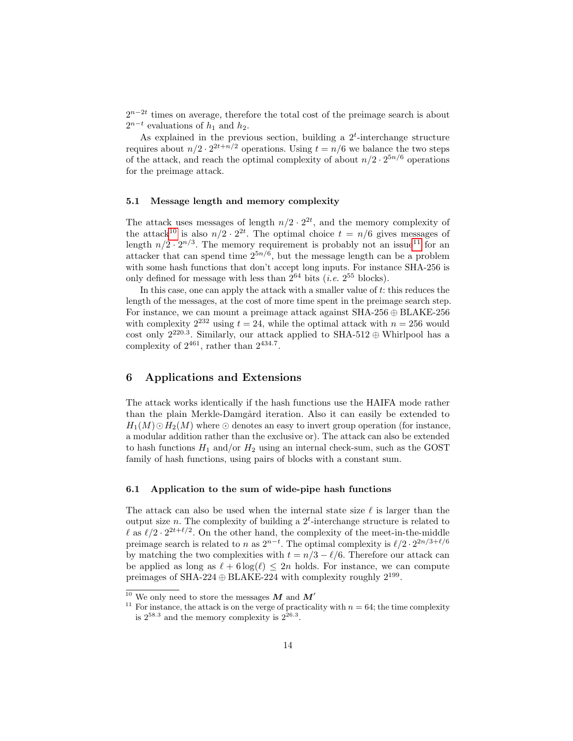$2^{n-2t}$  times on average, therefore the total cost of the preimage search is about  $2^{n-t}$  evaluations of  $h_1$  and  $h_2$ .

As explained in the previous section, building a  $2<sup>t</sup>$ -interchange structure requires about  $n/2 \cdot 2^{2t+n/2}$  operations. Using  $t = n/6$  we balance the two steps of the attack, and reach the optimal complexity of about  $n/2 \cdot 2^{5n/6}$  operations for the preimage attack.

### 5.1 Message length and memory complexity

The attack uses messages of length  $n/2 \cdot 2^{2t}$ , and the memory complexity of the attack<sup>[10](#page-13-1)</sup> is also  $n/2 \cdot 2^{2t}$ . The optimal choice  $t = n/6$  gives messages of length  $n/2 \cdot 2^{n/3}$ . The memory requirement is probably not an issue<sup>[11](#page-13-2)</sup> for an attacker that can spend time  $2^{5n/6}$ , but the message length can be a problem with some hash functions that don't accept long inputs. For instance SHA-256 is only defined for message with less than  $2^{64}$  bits (*i.e.*  $2^{55}$  blocks).

In this case, one can apply the attack with a smaller value of  $t$ : this reduces the length of the messages, at the cost of more time spent in the preimage search step. For instance, we can mount a preimage attack against SHA-256 ⊕ BLAKE-256 with complexity  $2^{232}$  using  $t = 24$ , while the optimal attack with  $n = 256$  would cost only  $2^{220.3}$ . Similarly, our attack applied to SHA-512  $\oplus$  Whirlpool has a complexity of  $2^{461}$ , rather than  $2^{434.7}$ .

## <span id="page-13-0"></span>6 Applications and Extensions

The attack works identically if the hash functions use the HAIFA mode rather than the plain Merkle-Damgård iteration. Also it can easily be extended to  $H_1(M) \odot H_2(M)$  where  $\odot$  denotes an easy to invert group operation (for instance, a modular addition rather than the exclusive or). The attack can also be extended to hash functions  $H_1$  and/or  $H_2$  using an internal check-sum, such as the GOST family of hash functions, using pairs of blocks with a constant sum.

### 6.1 Application to the sum of wide-pipe hash functions

The attack can also be used when the internal state size  $\ell$  is larger than the output size n. The complexity of building a  $2<sup>t</sup>$ -interchange structure is related to  $\ell$  as  $\ell/2 \cdot 2^{2t+\ell/2}$ . On the other hand, the complexity of the meet-in-the-middle preimage search is related to n as  $2^{n-t}$ . The optimal complexity is  $\ell/2 \cdot 2^{2n/3+\ell/6}$ by matching the two complexities with  $t = n/3 - \ell/6$ . Therefore our attack can be applied as long as  $\ell + 6 \log(\ell) \leq 2n$  holds. For instance, we can compute preimages of SHA-224  $\oplus$  BLAKE-224 with complexity roughly  $2^{199}$ .

<span id="page-13-1"></span> $10$  We only need to store the messages  $M$  and  $M'$ 

<span id="page-13-2"></span><sup>&</sup>lt;sup>11</sup> For instance, the attack is on the verge of practicality with  $n = 64$ ; the time complexity is  $2^{58.3}$  and the memory complexity is  $2^{26.3}$ .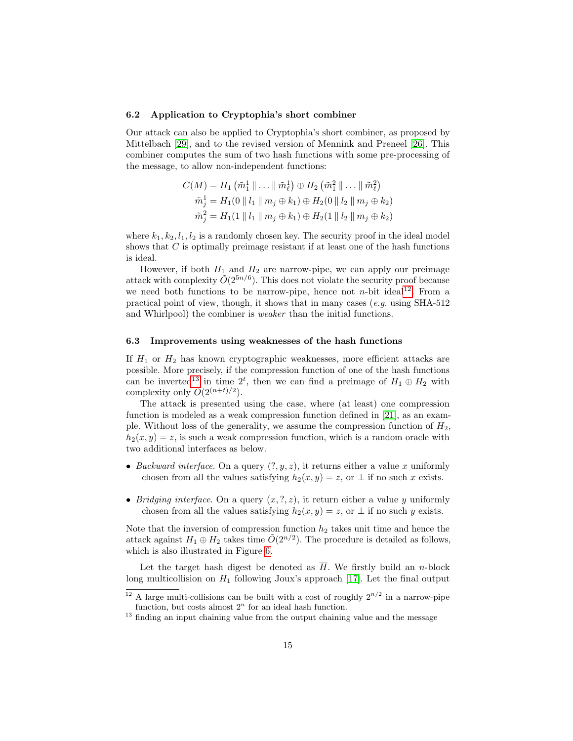#### 6.2 Application to Cryptophia's short combiner

Our attack can also be applied to Cryptophia's short combiner, as proposed by Mittelbach [\[29\]](#page-19-6), and to the revised version of Mennink and Preneel [\[26\]](#page-19-7). This combiner computes the sum of two hash functions with some pre-processing of the message, to allow non-independent functions:

$$
C(M) = H_1 \left( \tilde{m}_1^1 \parallel \ldots \parallel \tilde{m}_\ell^1 \right) \oplus H_2 \left( \tilde{m}_1^2 \parallel \ldots \parallel \tilde{m}_\ell^2 \right)
$$
  
\n
$$
\tilde{m}_j^1 = H_1(0 \parallel l_1 \parallel m_j \oplus k_1) \oplus H_2(0 \parallel l_2 \parallel m_j \oplus k_2)
$$
  
\n
$$
\tilde{m}_j^2 = H_1(1 \parallel l_1 \parallel m_j \oplus k_1) \oplus H_2(1 \parallel l_2 \parallel m_j \oplus k_2)
$$

where  $k_1, k_2, l_1, l_2$  is a randomly chosen key. The security proof in the ideal model shows that  $C$  is optimally preimage resistant if at least one of the hash functions is ideal.

However, if both  $H_1$  and  $H_2$  are narrow-pipe, we can apply our preimage attack with complexity  $\tilde{O}(2^{5n/6})$ . This does not violate the security proof because we need both functions to be narrow-pipe, hence not  $n$ -bit ideal<sup>[12](#page-14-0)</sup>. From a practical point of view, though, it shows that in many cases  $(e.g.$  using SHA-512 and Whirlpool) the combiner is weaker than the initial functions.

### 6.3 Improvements using weaknesses of the hash functions

If  $H_1$  or  $H_2$  has known cryptographic weaknesses, more efficient attacks are possible. More precisely, if the compression function of one of the hash functions can be inverted<sup>[13](#page-14-1)</sup> in time 2<sup>t</sup>, then we can find a preimage of  $H_1 \oplus H_2$  with complexity only  $\tilde{O}(2^{(n+t)/2})$ .

The attack is presented using the case, where (at least) one compression function is modeled as a weak compression function defined in [\[21\]](#page-19-2), as an example. Without loss of the generality, we assume the compression function of  $H_2$ ,  $h_2(x, y) = z$ , is such a weak compression function, which is a random oracle with two additional interfaces as below.

- Backward interface. On a query  $(?, y, z)$ , it returns either a value x uniformly chosen from all the values satisfying  $h_2(x, y) = z$ , or  $\perp$  if no such x exists.
- Bridging interface. On a query  $(x, ?, z)$ , it return either a value y uniformly chosen from all the values satisfying  $h_2(x, y) = z$ , or  $\perp$  if no such y exists.

Note that the inversion of compression function  $h_2$  takes unit time and hence the attack against  $H_1 \oplus H_2$  takes time  $\tilde{O}(2^{n/2})$ . The procedure is detailed as follows, which is also illustrated in Figure [6.](#page-15-0)

Let the target hash digest be denoted as  $\overline{H}$ . We firstly build an n-block long multicollision on  $H_1$  following Joux's approach [\[17\]](#page-19-0). Let the final output

<span id="page-14-0"></span><sup>&</sup>lt;sup>12</sup> A large multi-collisions can be built with a cost of roughly  $2^{n/2}$  in a narrow-pipe function, but costs almost  $2<sup>n</sup>$  for an ideal hash function.

<span id="page-14-1"></span><sup>&</sup>lt;sup>13</sup> finding an input chaining value from the output chaining value and the message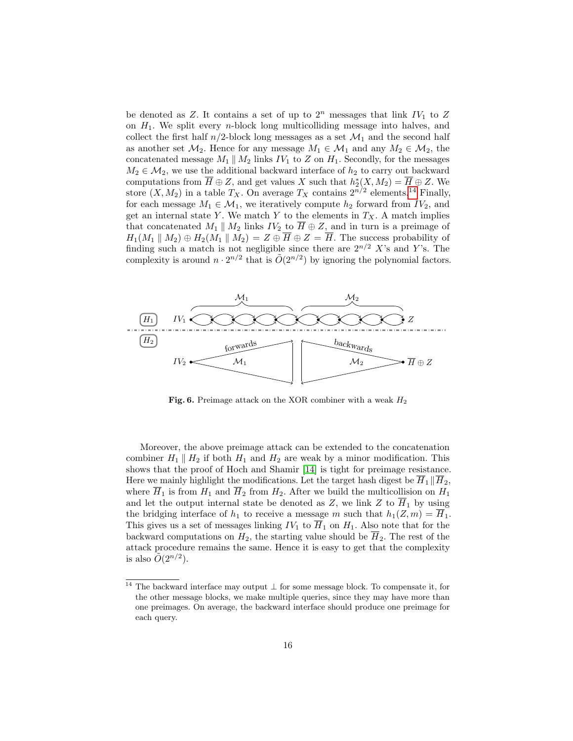be denoted as Z. It contains a set of up to  $2^n$  messages that link  $IV_1$  to Z on  $H_1$ . We split every *n*-block long multicolliding message into halves, and collect the first half  $n/2$ -block long messages as a set  $\mathcal{M}_1$  and the second half as another set  $M_2$ . Hence for any message  $M_1 \in \mathcal{M}_1$  and any  $M_2 \in \mathcal{M}_2$ , the concatenated message  $M_1 \parallel M_2$  links  $IV_1$  to Z on  $H_1$ . Secondly, for the messages  $M_2 \in \mathcal{M}_2$ , we use the additional backward interface of  $h_2$  to carry out backward computations from  $\overline{H} \oplus Z$ , and get values X such that  $h_2^*(X, M_2) = \overline{H} \oplus Z$ . We computations from  $H \oplus Z$ , and get values  $X$  such that  $h_2(X, M_2) = H \oplus Z$ . We store  $(X, M_2)$  in a table  $T_X$ . On average  $T_X$  contains  $2^{n/2}$  elements.<sup>[14](#page-15-1)</sup> Finally, for each message  $M_1 \in \mathcal{M}_1$ , we iteratively compute  $h_2$  forward from  $IV_2$ , and get an internal state Y. We match Y to the elements in  $T_X$ . A match implies that concatenated  $M_1 \parallel M_2$  links  $IV_2$  to  $\overline{H} \oplus Z$ , and in turn is a preimage of  $H_1(M_1 || M_2) \oplus H_2(M_1 || M_2) = Z \oplus \overline{H} \oplus Z = \overline{H}$ . The success probability of finding such a match is not negligible since there are  $2^{n/2}$  X's and Y's. The complexity is around  $n \cdot 2^{n/2}$  that is  $O(2^{n/2})$  by ignoring the polynomial factors.



<span id="page-15-0"></span>Fig. 6. Preimage attack on the XOR combiner with a weak  $H_2$ 

Moreover, the above preimage attack can be extended to the concatenation combiner  $H_1 \parallel H_2$  if both  $H_1$  and  $H_2$  are weak by a minor modification. This shows that the proof of Hoch and Shamir [\[14\]](#page-18-2) is tight for preimage resistance. Here we mainly highlight the modifications. Let the target hash digest be  $\overline{H}_1 \parallel \overline{H}_2$ , where  $\overline{H}_1$  is from  $H_1$  and  $\overline{H}_2$  from  $H_2$ . After we build the multicollision on  $H_1$ and let the output internal state be denoted as Z, we link Z to  $\overline{H}_1$  by using the bridging interface of  $h_1$  to receive a message m such that  $h_1(Z, m) = \overline{H}_1$ . This gives us a set of messages linking  $IV_1$  to  $\overline{H}_1$  on  $H_1$ . Also note that for the backward computations on  $H_2$ , the starting value should be  $\overline{H}_2$ . The rest of the attack procedure remains the same. Hence it is easy to get that the complexity is also  $\tilde{O}(2^{n/2})$ .

<span id="page-15-1"></span> $^{14}$  The backward interface may output  $\perp$  for some message block. To compensate it, for the other message blocks, we make multiple queries, since they may have more than one preimages. On average, the backward interface should produce one preimage for each query.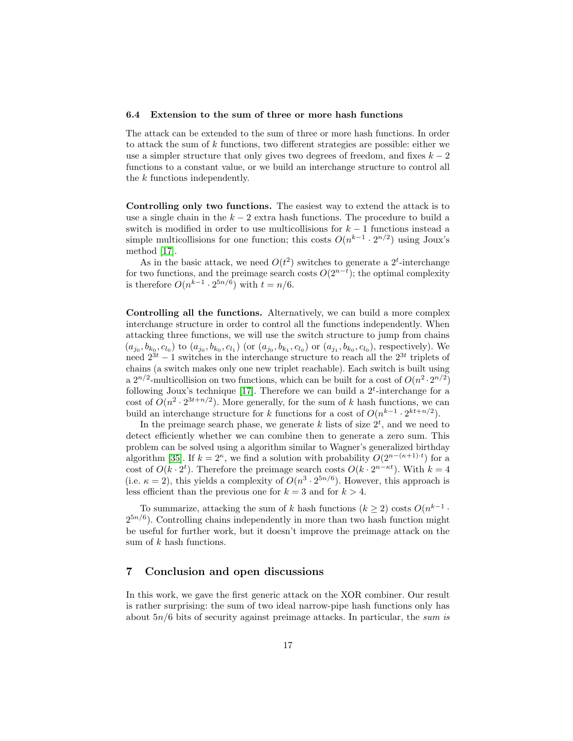#### 6.4 Extension to the sum of three or more hash functions

The attack can be extended to the sum of three or more hash functions. In order to attack the sum of  $k$  functions, two different strategies are possible: either we use a simpler structure that only gives two degrees of freedom, and fixes  $k - 2$ functions to a constant value, or we build an interchange structure to control all the k functions independently.

Controlling only two functions. The easiest way to extend the attack is to use a single chain in the  $k - 2$  extra hash functions. The procedure to build a switch is modified in order to use multicollisions for  $k-1$  functions instead a simple multicollisions for one function; this costs  $O(n^{k-1} \cdot 2^{n/2})$  using Joux's method [\[17\]](#page-19-0).

As in the basic attack, we need  $O(t^2)$  switches to generate a  $2^t$ -interchange for two functions, and the preimage search costs  $O(2^{n-t})$ ; the optimal complexity is therefore  $O(n^{k-1} \cdot 2^{5n/6})$  with  $t = n/6$ .

Controlling all the functions. Alternatively, we can build a more complex interchange structure in order to control all the functions independently. When attacking three functions, we will use the switch structure to jump from chains  $(a_{j_0}, b_{k_0}, c_{l_0})$  to  $(a_{j_0}, b_{k_0}, c_{l_1})$  (or  $(a_{j_0}, b_{k_1}, c_{l_0})$  or  $(a_{j_1}, b_{k_0}, c_{l_0})$ , respectively). We need  $2^{3t} - 1$  switches in the interchange structure to reach all the  $2^{3t}$  triplets of chains (a switch makes only one new triplet reachable). Each switch is built using a  $2^{n/2}$ -multicollision on two functions, which can be built for a cost of  $O(n^2 \cdot 2^{n/2})$ following Joux's technique [\[17\]](#page-19-0). Therefore we can build a  $2<sup>t</sup>$ -interchange for a cost of  $O(n^2 \cdot 2^{3t+n/2})$ . More generally, for the sum of k hash functions, we can build an interchange structure for k functions for a cost of  $O(n^{k-1} \cdot 2^{kt+n/2})$ .

In the preimage search phase, we generate  $k$  lists of size  $2^t$ , and we need to detect efficiently whether we can combine then to generate a zero sum. This problem can be solved using a algorithm similar to Wagner's generalized birthday algorithm [\[35\]](#page-20-6). If  $k = 2^{\kappa}$ , we find a solution with probability  $O(2^{n-(\kappa+1)\cdot t})$  for a cost of  $O(k \cdot 2^t)$ . Therefore the preimage search costs  $O(k \cdot 2^{n-\kappa t})$ . With  $k=4$ (i.e.  $\kappa = 2$ ), this yields a complexity of  $O(n^3 \cdot 2^{5n/6})$ . However, this approach is less efficient than the previous one for  $k = 3$  and for  $k > 4$ .

To summarize, attacking the sum of k hash functions  $(k \geq 2)$  costs  $O(n^{k-1} \cdot$  $2^{5n/6}$ ). Controlling chains independently in more than two hash function might be useful for further work, but it doesn't improve the preimage attack on the sum of  $k$  hash functions.

## <span id="page-16-0"></span>7 Conclusion and open discussions

In this work, we gave the first generic attack on the XOR combiner. Our result is rather surprising: the sum of two ideal narrow-pipe hash functions only has about  $5n/6$  bits of security against preimage attacks. In particular, the sum is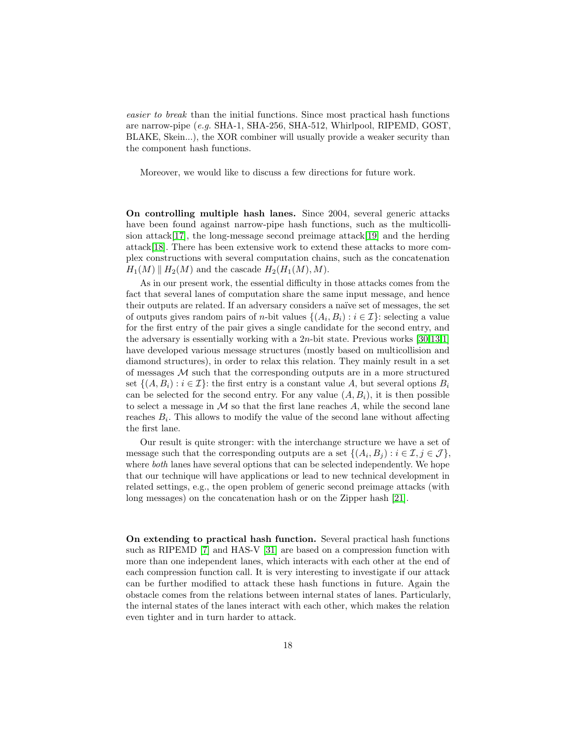easier to break than the initial functions. Since most practical hash functions are narrow-pipe (e.g. SHA-1, SHA-256, SHA-512, Whirlpool, RIPEMD, GOST, BLAKE, Skein...), the XOR combiner will usually provide a weaker security than the component hash functions.

Moreover, we would like to discuss a few directions for future work.

On controlling multiple hash lanes. Since 2004, several generic attacks have been found against narrow-pipe hash functions, such as the multicollision attack[\[17\]](#page-19-0), the long-message second preimage attack[\[19\]](#page-19-14) and the herding attack[\[18\]](#page-19-15). There has been extensive work to extend these attacks to more complex constructions with several computation chains, such as the concatenation  $H_1(M) \parallel H_2(M)$  and the cascade  $H_2(H_1(M), M)$ .

As in our present work, the essential difficulty in those attacks comes from the fact that several lanes of computation share the same input message, and hence their outputs are related. If an adversary considers a na¨ıve set of messages, the set of outputs gives random pairs of *n*-bit values  $\{(A_i, B_i) : i \in \mathcal{I}\}\$ : selecting a value for the first entry of the pair gives a single candidate for the second entry, and the adversary is essentially working with a  $2n$ -bit state. Previous works [\[30](#page-19-16)[,13](#page-18-12)[,1\]](#page-18-13) have developed various message structures (mostly based on multicollision and diamond structures), in order to relax this relation. They mainly result in a set of messages  $\mathcal M$  such that the corresponding outputs are in a more structured set  $\{(A, B_i) : i \in \mathcal{I}\}\$ : the first entry is a constant value A, but several options  $B_i$ can be selected for the second entry. For any value  $(A, B_i)$ , it is then possible to select a message in  $M$  so that the first lane reaches  $A$ , while the second lane reaches  $B_i$ . This allows to modify the value of the second lane without affecting the first lane.

Our result is quite stronger: with the interchange structure we have a set of message such that the corresponding outputs are a set  $\{(A_i, B_j) : i \in \mathcal{I}, j \in \mathcal{J}\},\$ where *both* lanes have several options that can be selected independently. We hope that our technique will have applications or lead to new technical development in related settings, e.g., the open problem of generic second preimage attacks (with long messages) on the concatenation hash or on the Zipper hash [\[21\]](#page-19-2).

On extending to practical hash function. Several practical hash functions such as RIPEMD [\[7\]](#page-18-10) and HAS-V [\[31\]](#page-19-11) are based on a compression function with more than one independent lanes, which interacts with each other at the end of each compression function call. It is very interesting to investigate if our attack can be further modified to attack these hash functions in future. Again the obstacle comes from the relations between internal states of lanes. Particularly, the internal states of the lanes interact with each other, which makes the relation even tighter and in turn harder to attack.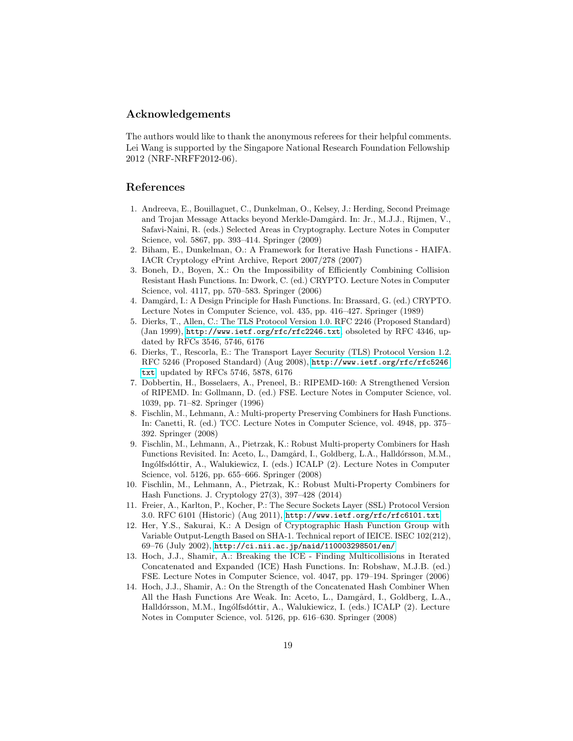### Acknowledgements

The authors would like to thank the anonymous referees for their helpful comments. Lei Wang is supported by the Singapore National Research Foundation Fellowship 2012 (NRF-NRFF2012-06).

## References

- <span id="page-18-13"></span>1. Andreeva, E., Bouillaguet, C., Dunkelman, O., Kelsey, J.: Herding, Second Preimage and Trojan Message Attacks beyond Merkle-Damgård. In: Jr., M.J.J., Rijmen, V., Safavi-Naini, R. (eds.) Selected Areas in Cryptography. Lecture Notes in Computer Science, vol. 5867, pp. 393–414. Springer (2009)
- <span id="page-18-5"></span>2. Biham, E., Dunkelman, O.: A Framework for Iterative Hash Functions - HAIFA. IACR Cryptology ePrint Archive, Report 2007/278 (2007)
- <span id="page-18-9"></span>3. Boneh, D., Boyen, X.: On the Impossibility of Efficiently Combining Collision Resistant Hash Functions. In: Dwork, C. (ed.) CRYPTO. Lecture Notes in Computer Science, vol. 4117, pp. 570–583. Springer (2006)
- <span id="page-18-4"></span>4. Damgård, I.: A Design Principle for Hash Functions. In: Brassard, G. (ed.) CRYPTO. Lecture Notes in Computer Science, vol. 435, pp. 416–427. Springer (1989)
- <span id="page-18-1"></span>5. Dierks, T., Allen, C.: The TLS Protocol Version 1.0. RFC 2246 (Proposed Standard) (Jan 1999), <http://www.ietf.org/rfc/rfc2246.txt>, obsoleted by RFC 4346, updated by RFCs 3546, 5746, 6176
- <span id="page-18-3"></span>6. Dierks, T., Rescorla, E.: The Transport Layer Security (TLS) Protocol Version 1.2. RFC 5246 (Proposed Standard) (Aug 2008), [http://www.ietf.org/rfc/rfc5246.](http://www.ietf.org/rfc/rfc5246.txt) [txt](http://www.ietf.org/rfc/rfc5246.txt), updated by RFCs 5746, 5878, 6176
- <span id="page-18-10"></span>7. Dobbertin, H., Bosselaers, A., Preneel, B.: RIPEMD-160: A Strengthened Version of RIPEMD. In: Gollmann, D. (ed.) FSE. Lecture Notes in Computer Science, vol. 1039, pp. 71–82. Springer (1996)
- <span id="page-18-6"></span>8. Fischlin, M., Lehmann, A.: Multi-property Preserving Combiners for Hash Functions. In: Canetti, R. (ed.) TCC. Lecture Notes in Computer Science, vol. 4948, pp. 375– 392. Springer (2008)
- <span id="page-18-7"></span>9. Fischlin, M., Lehmann, A., Pietrzak, K.: Robust Multi-property Combiners for Hash Functions Revisited. In: Aceto, L., Damgård, I., Goldberg, L.A., Halldórsson, M.M., Ingólfsdóttir, A., Walukiewicz, I. (eds.) ICALP (2). Lecture Notes in Computer Science, vol. 5126, pp. 655–666. Springer (2008)
- <span id="page-18-8"></span>10. Fischlin, M., Lehmann, A., Pietrzak, K.: Robust Multi-Property Combiners for Hash Functions. J. Cryptology 27(3), 397–428 (2014)
- <span id="page-18-0"></span>11. Freier, A., Karlton, P., Kocher, P.: The Secure Sockets Layer (SSL) Protocol Version 3.0. RFC 6101 (Historic) (Aug 2011), <http://www.ietf.org/rfc/rfc6101.txt>
- <span id="page-18-11"></span>12. Her, Y.S., Sakurai, K.: A Design of Cryptographic Hash Function Group with Variable Output-Length Based on SHA-1. Technical report of IEICE. ISEC 102(212), 69–76 (July 2002), <http://ci.nii.ac.jp/naid/110003298501/en/>
- <span id="page-18-12"></span>13. Hoch, J.J., Shamir, A.: Breaking the ICE - Finding Multicollisions in Iterated Concatenated and Expanded (ICE) Hash Functions. In: Robshaw, M.J.B. (ed.) FSE. Lecture Notes in Computer Science, vol. 4047, pp. 179–194. Springer (2006)
- <span id="page-18-2"></span>14. Hoch, J.J., Shamir, A.: On the Strength of the Concatenated Hash Combiner When All the Hash Functions Are Weak. In: Aceto, L., Damgård, I., Goldberg, L.A., Halldórsson, M.M., Ingólfsdóttir, A., Walukiewicz, I. (eds.) ICALP (2). Lecture Notes in Computer Science, vol. 5126, pp. 616–630. Springer (2008)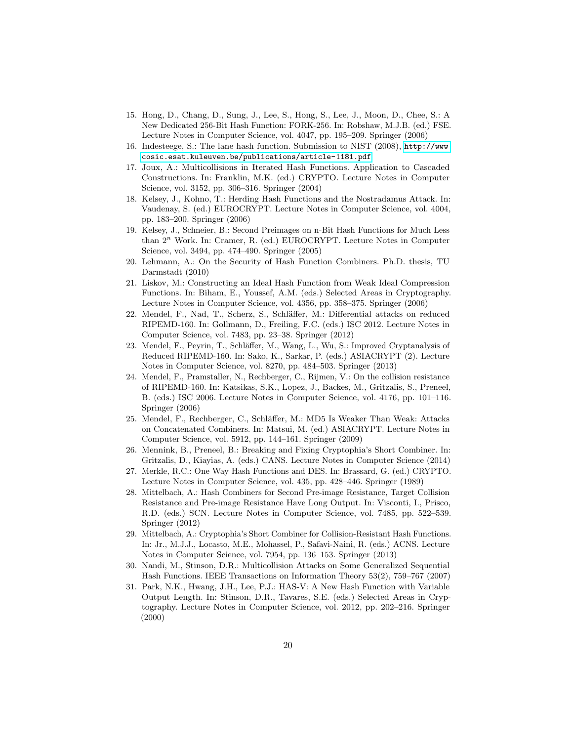- <span id="page-19-12"></span>15. Hong, D., Chang, D., Sung, J., Lee, S., Hong, S., Lee, J., Moon, D., Chee, S.: A New Dedicated 256-Bit Hash Function: FORK-256. In: Robshaw, M.J.B. (ed.) FSE. Lecture Notes in Computer Science, vol. 4047, pp. 195–209. Springer (2006)
- <span id="page-19-13"></span>16. Indesteege, S.: The lane hash function. Submission to NIST (2008), [http://www.](http://www.cosic.esat.kuleuven.be/publications/ article-1181.pdf) [cosic.esat.kuleuven.be/publications/article-1181.pdf](http://www.cosic.esat.kuleuven.be/publications/ article-1181.pdf)
- <span id="page-19-0"></span>17. Joux, A.: Multicollisions in Iterated Hash Functions. Application to Cascaded Constructions. In: Franklin, M.K. (ed.) CRYPTO. Lecture Notes in Computer Science, vol. 3152, pp. 306–316. Springer (2004)
- <span id="page-19-15"></span>18. Kelsey, J., Kohno, T.: Herding Hash Functions and the Nostradamus Attack. In: Vaudenay, S. (ed.) EUROCRYPT. Lecture Notes in Computer Science, vol. 4004, pp. 183–200. Springer (2006)
- <span id="page-19-14"></span>19. Kelsey, J., Schneier, B.: Second Preimages on n-Bit Hash Functions for Much Less than  $2<sup>n</sup>$  Work. In: Cramer, R. (ed.) EUROCRYPT. Lecture Notes in Computer Science, vol. 3494, pp. 474–490. Springer (2005)
- <span id="page-19-4"></span>20. Lehmann, A.: On the Security of Hash Function Combiners. Ph.D. thesis, TU Darmstadt (2010)
- <span id="page-19-2"></span>21. Liskov, M.: Constructing an Ideal Hash Function from Weak Ideal Compression Functions. In: Biham, E., Youssef, A.M. (eds.) Selected Areas in Cryptography. Lecture Notes in Computer Science, vol. 4356, pp. 358–375. Springer (2006)
- <span id="page-19-9"></span>22. Mendel, F., Nad, T., Scherz, S., Schläffer, M.: Differential attacks on reduced RIPEMD-160. In: Gollmann, D., Freiling, F.C. (eds.) ISC 2012. Lecture Notes in Computer Science, vol. 7483, pp. 23–38. Springer (2012)
- <span id="page-19-10"></span>23. Mendel, F., Peyrin, T., Schläffer, M., Wang, L., Wu, S.: Improved Cryptanalysis of Reduced RIPEMD-160. In: Sako, K., Sarkar, P. (eds.) ASIACRYPT (2). Lecture Notes in Computer Science, vol. 8270, pp. 484–503. Springer (2013)
- <span id="page-19-8"></span>24. Mendel, F., Pramstaller, N., Rechberger, C., Rijmen, V.: On the collision resistance of RIPEMD-160. In: Katsikas, S.K., Lopez, J., Backes, M., Gritzalis, S., Preneel, B. (eds.) ISC 2006. Lecture Notes in Computer Science, vol. 4176, pp. 101–116. Springer (2006)
- <span id="page-19-3"></span>25. Mendel, F., Rechberger, C., Schläffer, M.: MD5 Is Weaker Than Weak: Attacks on Concatenated Combiners. In: Matsui, M. (ed.) ASIACRYPT. Lecture Notes in Computer Science, vol. 5912, pp. 144–161. Springer (2009)
- <span id="page-19-7"></span>26. Mennink, B., Preneel, B.: Breaking and Fixing Cryptophia's Short Combiner. In: Gritzalis, D., Kiayias, A. (eds.) CANS. Lecture Notes in Computer Science (2014)
- <span id="page-19-1"></span>27. Merkle, R.C.: One Way Hash Functions and DES. In: Brassard, G. (ed.) CRYPTO. Lecture Notes in Computer Science, vol. 435, pp. 428–446. Springer (1989)
- <span id="page-19-5"></span>28. Mittelbach, A.: Hash Combiners for Second Pre-image Resistance, Target Collision Resistance and Pre-image Resistance Have Long Output. In: Visconti, I., Prisco, R.D. (eds.) SCN. Lecture Notes in Computer Science, vol. 7485, pp. 522–539. Springer (2012)
- <span id="page-19-6"></span>29. Mittelbach, A.: Cryptophia's Short Combiner for Collision-Resistant Hash Functions. In: Jr., M.J.J., Locasto, M.E., Mohassel, P., Safavi-Naini, R. (eds.) ACNS. Lecture Notes in Computer Science, vol. 7954, pp. 136–153. Springer (2013)
- <span id="page-19-16"></span>30. Nandi, M., Stinson, D.R.: Multicollision Attacks on Some Generalized Sequential Hash Functions. IEEE Transactions on Information Theory 53(2), 759–767 (2007)
- <span id="page-19-11"></span>31. Park, N.K., Hwang, J.H., Lee, P.J.: HAS-V: A New Hash Function with Variable Output Length. In: Stinson, D.R., Tavares, S.E. (eds.) Selected Areas in Cryptography. Lecture Notes in Computer Science, vol. 2012, pp. 202–216. Springer (2000)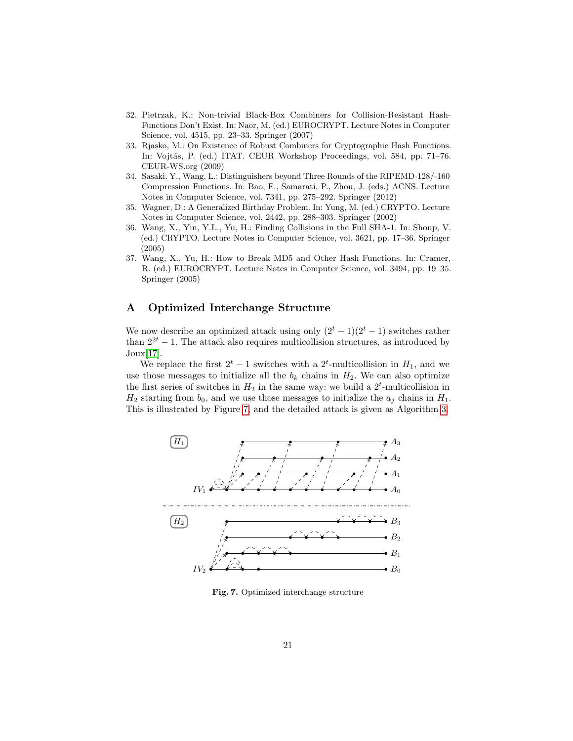- <span id="page-20-2"></span>32. Pietrzak, K.: Non-trivial Black-Box Combiners for Collision-Resistant Hash-Functions Don't Exist. In: Naor, M. (ed.) EUROCRYPT. Lecture Notes in Computer Science, vol. 4515, pp. 23–33. Springer (2007)
- <span id="page-20-3"></span>33. Rjasko, M.: On Existence of Robust Combiners for Cryptographic Hash Functions. In: Vojt´as, P. (ed.) ITAT. CEUR Workshop Proceedings, vol. 584, pp. 71–76. CEUR-WS.org (2009)
- <span id="page-20-4"></span>34. Sasaki, Y., Wang, L.: Distinguishers beyond Three Rounds of the RIPEMD-128/-160 Compression Functions. In: Bao, F., Samarati, P., Zhou, J. (eds.) ACNS. Lecture Notes in Computer Science, vol. 7341, pp. 275–292. Springer (2012)
- <span id="page-20-6"></span>35. Wagner, D.: A Generalized Birthday Problem. In: Yung, M. (ed.) CRYPTO. Lecture Notes in Computer Science, vol. 2442, pp. 288–303. Springer (2002)
- <span id="page-20-1"></span>36. Wang, X., Yin, Y.L., Yu, H.: Finding Collisions in the Full SHA-1. In: Shoup, V. (ed.) CRYPTO. Lecture Notes in Computer Science, vol. 3621, pp. 17–36. Springer (2005)
- <span id="page-20-0"></span>37. Wang, X., Yu, H.: How to Break MD5 and Other Hash Functions. In: Cramer, R. (ed.) EUROCRYPT. Lecture Notes in Computer Science, vol. 3494, pp. 19–35. Springer (2005)

## <span id="page-20-5"></span>A Optimized Interchange Structure

We now describe an optimized attack using only  $(2<sup>t</sup> - 1)(2<sup>t</sup> - 1)$  switches rather than  $2^{2t} - 1$ . The attack also requires multicollision structures, as introduced by Joux[\[17\]](#page-19-0).

We replace the first  $2^t - 1$  switches with a  $2^t$ -multicollision in  $H_1$ , and we use those messages to initialize all the  $b_k$  chains in  $H_2$ . We can also optimize the first series of switches in  $H_2$  in the same way: we build a  $2<sup>t</sup>$ -multicollision in  $H_2$  starting from  $b_0$ , and we use those messages to initialize the  $a_j$  chains in  $H_1$ . This is illustrated by Figure [7,](#page-20-7) and the detailed attack is given as Algorithm [3.](#page-21-0)



<span id="page-20-7"></span>Fig. 7. Optimized interchange structure